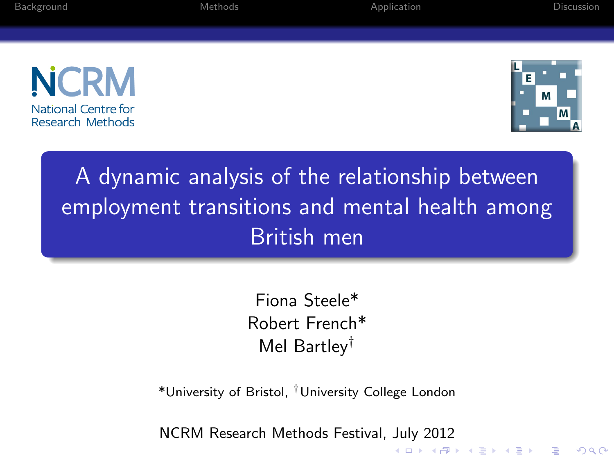| חווחז<br>п |   |   |  |
|------------|---|---|--|
|            | ı | × |  |

[Background](#page-1-0) [Methods](#page-3-0) [Application](#page-11-0) [Discussion](#page-17-0)





# A dynamic analysis of the relationship between employment transitions and mental health among British men

Fiona Steele\* Robert French\* Mel Bartley†

\*University of Bristol, †University College London

NCRM Research Methods Festival, July 2012**KORK ERKER EI VAN**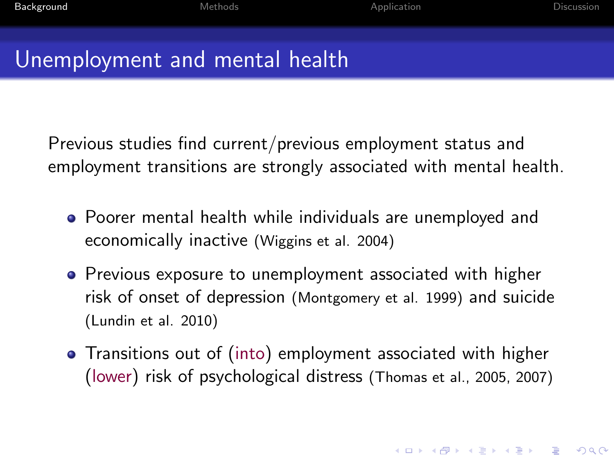**KORKAR KERKER E VOOR** 

### Unemployment and mental health

Previous studies find current/previous employment status and employment transitions are strongly associated with mental health.

- Poorer mental health while individuals are unemployed and economically inactive (Wiggins et al. 2004)
- Previous exposure to unemployment associated with higher risk of onset of depression (Montgomery et al. 1999) and suicide (Lundin et al. 2010)
- <span id="page-1-0"></span>Transitions out of (into) employment associated with higher (lower) risk of psychological distress (Thomas et al., 2005, 2007)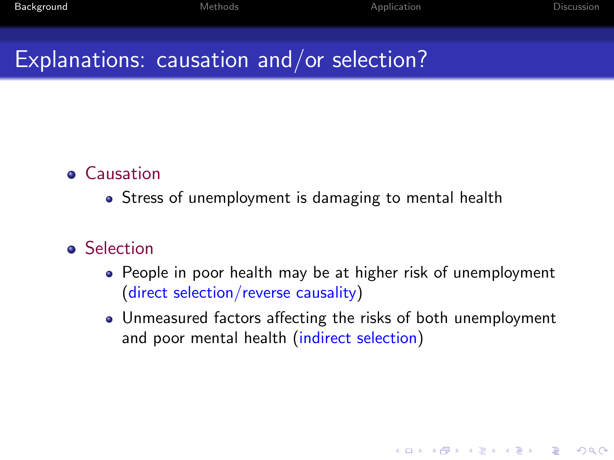## Explanations: causation and/or selection?

#### **•** Causation

• Stress of unemployment is damaging to mental health

#### **o** Selection

- People in poor health may be at higher risk of unemployment (direct selection/reverse causality)
- Unmeasured factors affecting the risks of both unemployment and poor mental health (indirect selection)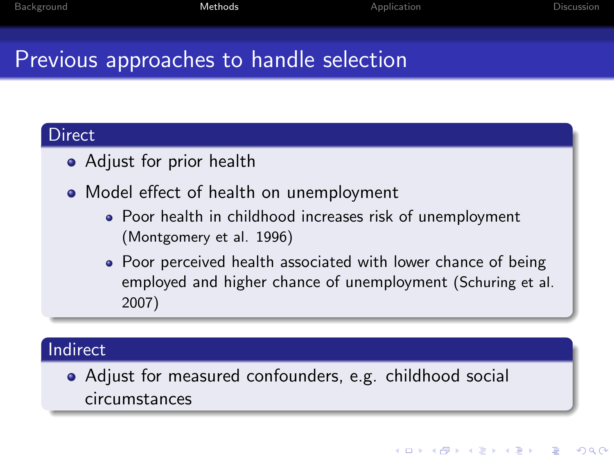# Previous approaches to handle selection

#### **Direct**

- Adjust for prior health
- Model effect of health on unemployment
	- Poor health in childhood increases risk of unemployment (Montgomery et al. 1996)
	- Poor perceived health associated with lower chance of being employed and higher chance of unemployment (Schuring et al. 2007)

#### Indirect

<span id="page-3-0"></span>Adjust for measured confounders, e.g. childhood social circumstances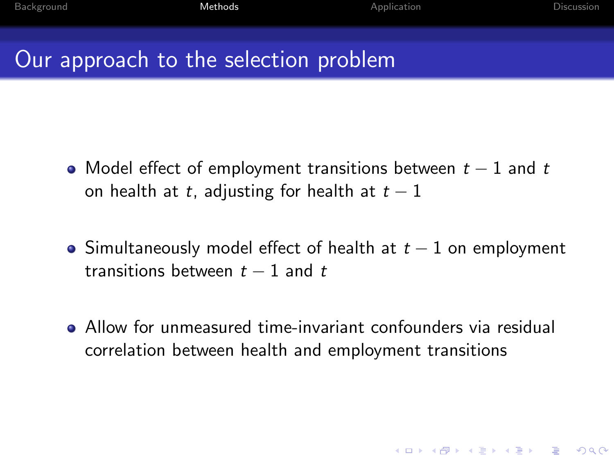K ロ ▶ K @ ▶ K 할 > K 할 > 1 할 > 1 이익어

### Our approach to the selection problem

- Model effect of employment transitions between  $t-1$  and t on health at t, adjusting for health at  $t-1$
- Simultaneously model effect of health at  $t-1$  on employment transitions between  $t - 1$  and  $t$
- Allow for unmeasured time-invariant confounders via residual correlation between health and employment transitions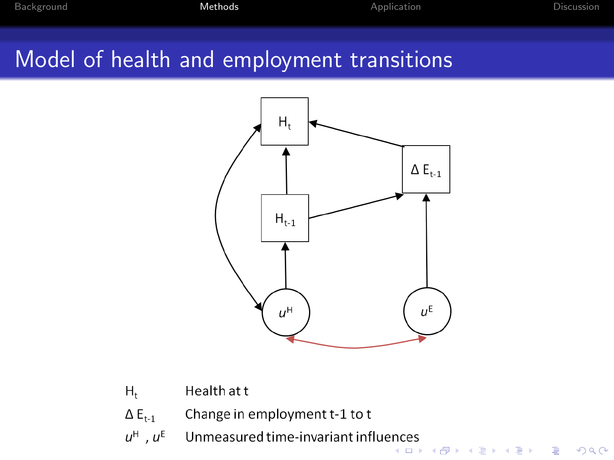## Model of health and employment transitions



- $H_t$ Health at t
- $\Delta E_{t-1}$ Change in employment t-1 to t
- $u^{\textrm{H}}$  ,  $u^{\textrm{E}}$ Unmeasured time-invariant influences .....<br>K □ ▶ K @ ▶ K 할 ▶ K 할 ▶ → 할 → K) Q Q <del>O</del>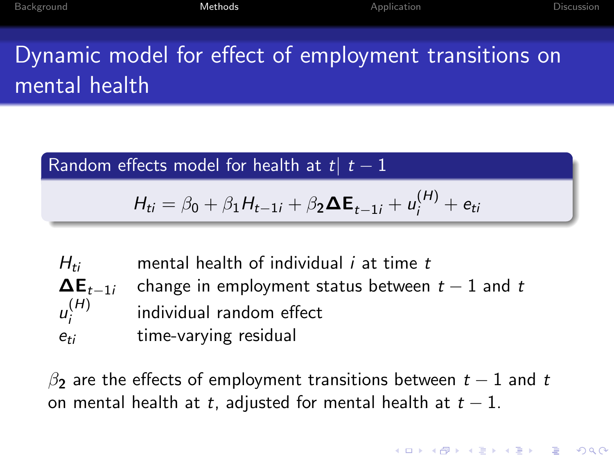Dynamic model for effect of employment transitions on mental health

Random effects model for health at t $|t-1|$ 

$$
H_{ti} = \beta_0 + \beta_1 H_{t-1i} + \beta_2 \Delta E_{t-1i} + u_i^{(H)} + e_{ti}
$$

 $H_{ti}$  mental health of individual *i* at time *t*  $\Delta E_{t-1i}$  change in employment status between  $t-1$  and t  $u_i^{(H)}$ i individual random effect  $e_{ti}$  time-varying residual

 $\beta$  are the effects of employment transitions between  $t-1$  and t on mental health at t, adjusted for mental health at  $t - 1$ .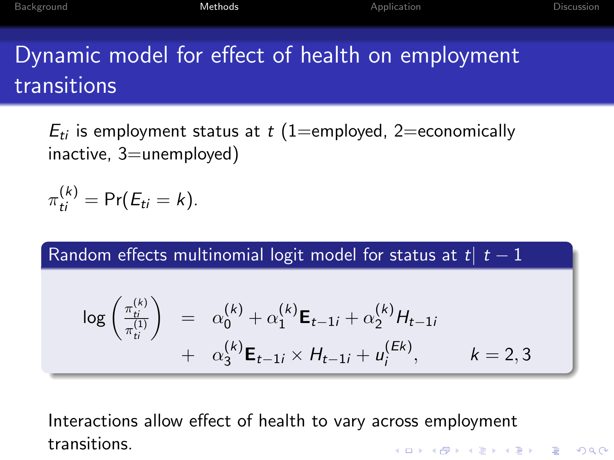# Dynamic model for effect of health on employment transitions

 $E_{ti}$  is employment status at t (1=employed, 2=economically inactive, 3=unemployed)

$$
\pi_{ti}^{(k)} = \Pr(E_{ti} = k).
$$

Random effects multinomial logit model for status at t|  $t - 1$ 

$$
\log\left(\frac{\pi_{ti}^{(k)}}{\pi_{ti}^{(1)}}\right) = \alpha_0^{(k)} + \alpha_1^{(k)} \mathbf{E}_{t-1i} + \alpha_2^{(k)} H_{t-1i} + \alpha_{ti}^{(k)} H_{t-1i} + \alpha_{ti}^{(k)} \mathbf{E}_{t-1i} \times H_{t-1i} + u_i^{(Ek)}, \qquad k = 2, 3
$$

Interactions allow effect of health to vary across employment transitions.**KORK ERKER ADE YOUR**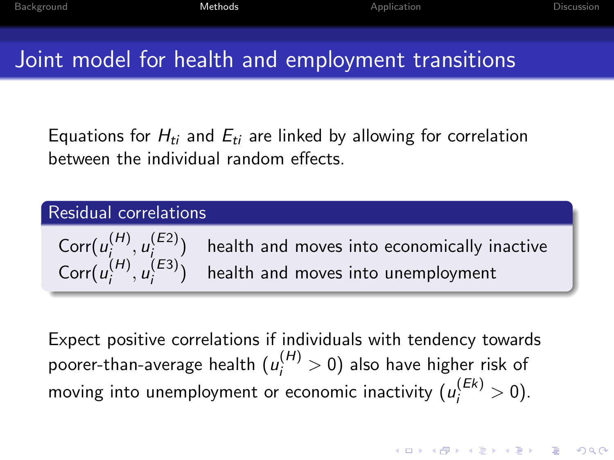**KORKAR KERKER EL VOLO** 

## Joint model for health and employment transitions

Equations for  $H_{ti}$  and  $E_{ti}$  are linked by allowing for correlation between the individual random effects.

#### Residual correlations

 $\text{Corr}(u_i^{(H)})$  $\mu_i^{(H)}, \mu_i^{(E2)}$ i health and moves into economically inactive  $\text{Corr}(u_i^{(H)})$  $_{i}^{(H)}, u_{i}^{(E3)}$ i health and moves into unemployment

Expect positive correlations if individuals with tendency towards poorer-than-average health  $(u^{(H)}_i>0)$  also have higher risk of moving into unemployment or economic inactivity  $(u^{(Ek)}_i>0).$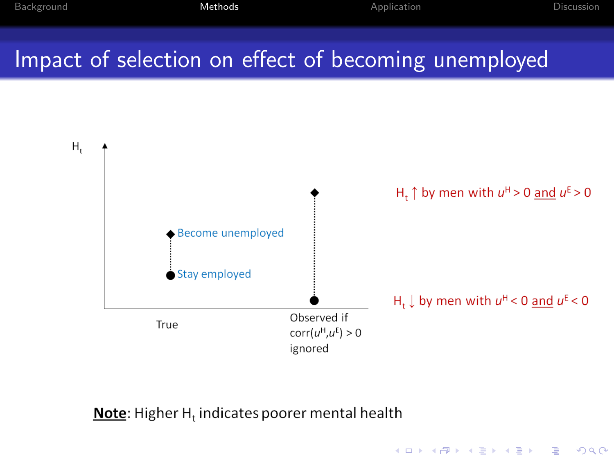# Impact of selection on effect of becoming unemployed



#### **Note:** Higher  $H_t$  indicates poorer mental health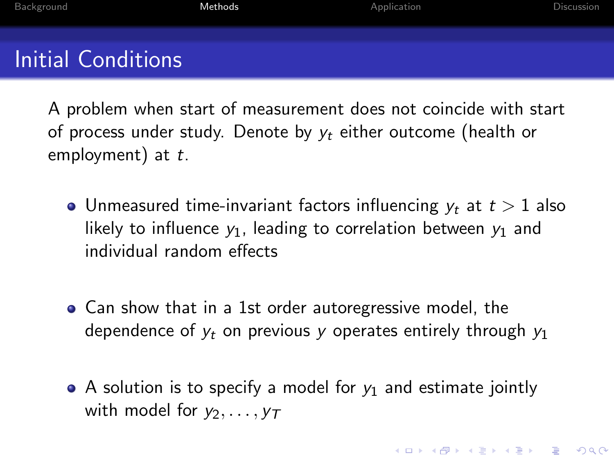A problem when start of measurement does not coincide with start of process under study. Denote by  $v_t$  either outcome (health or employment) at  $t$ .

- Unmeasured time-invariant factors influencing  $y_t$  at  $t > 1$  also likely to influence  $y_1$ , leading to correlation between  $y_1$  and individual random effects
- Can show that in a 1st order autoregressive model, the dependence of  $y_t$  on previous y operates entirely through  $y_1$
- A solution is to specify a model for  $y_1$  and estimate jointly with model for  $v_2, \ldots, v_T$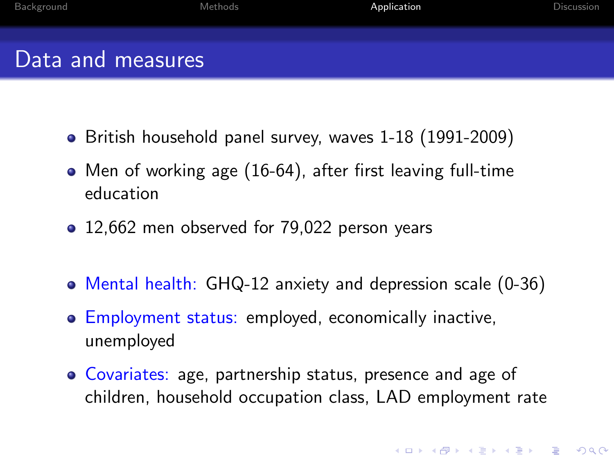| Background        | Methods | Application | Discussion |
|-------------------|---------|-------------|------------|
| Data and measures |         |             |            |

- British household panel survey, waves 1-18 (1991-2009)
- Men of working age (16-64), after first leaving full-time education
- 12,662 men observed for 79,022 person years
- Mental health: GHQ-12 anxiety and depression scale (0-36)
- **Employment status: employed, economically inactive,** unemployed
- <span id="page-11-0"></span>• Covariates: age, partnership status, presence and age of children, household occupation class, LAD employment rate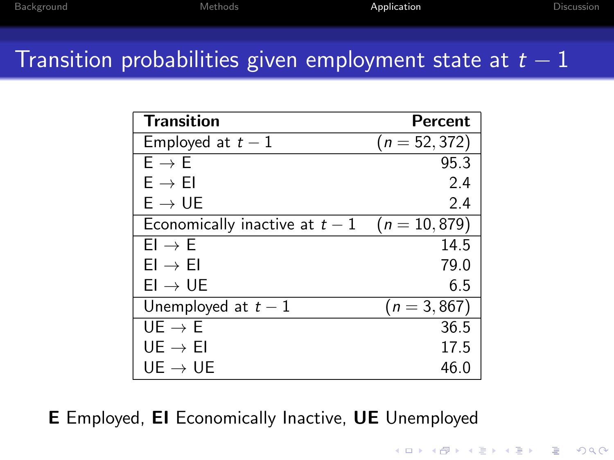**K ロ ▶ K @ ▶ K 할 X X 할 X 및 할 X X Q Q O** 

### Transition probabilities given employment state at  $t-1$

| <b>Transition</b>              | Percent         |
|--------------------------------|-----------------|
| Employed at $t-1$              | $(n = 52, 372)$ |
| $F \rightarrow F$              | 95.3            |
| $E \rightarrow EI$             | 2.4             |
| $E \rightarrow UE$             | 2.4             |
| Economically inactive at $t-1$ | $(n = 10, 879)$ |
| $El \rightarrow E$             | 14.5            |
| $EI \rightarrow EI$            | 79.0            |
| $EI \rightarrow UE$            | 6.5             |
| Unemployed at $t-1$            | $(n = 3, 867)$  |
| $UE \rightarrow E$             | 36.5            |
| $UE \rightarrow EI$            | 17.5            |
| $UE \rightarrow UE$            | 46.0            |

E Employed, EI Economically Inactive, UE Unemployed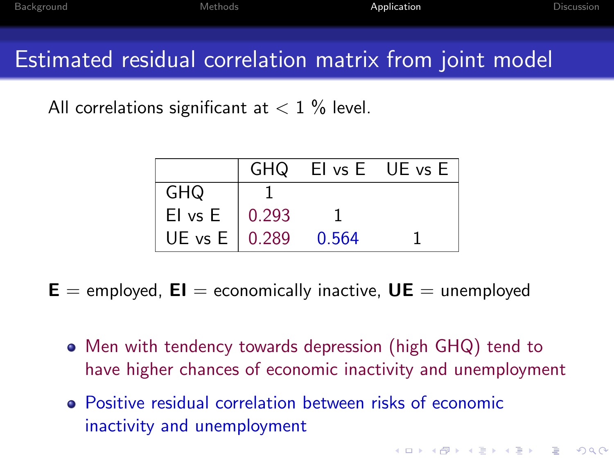4 D > 4 P + 4 B + 4 B + B + 9 Q O

### Estimated residual correlation matrix from joint model

All correlations significant at  $< 1$  % level.

|                       |       | GHQ El vs E UE vs E |
|-----------------------|-------|---------------------|
| GHQ                   |       |                     |
| El vs E $\vert$ 0.293 |       |                     |
| UE vs E 0.289         | 0.564 |                     |

 $E =$  employed,  $EI =$  economically inactive,  $UE =$  unemployed

- Men with tendency towards depression (high GHQ) tend to have higher chances of economic inactivity and unemployment
- Positive residual correlation between risks of economic inactivity and unemployment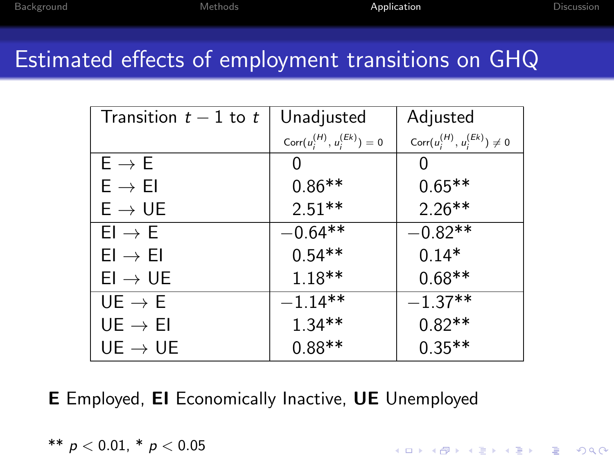**K ロ ▶ K @ ▶ K 할 X X 할 X → 할 X → 9 Q Q ^** 

### Estimated effects of employment transitions on GHQ

| Transition $t-1$ to t | Unadjusted                         | Adjusted                              |
|-----------------------|------------------------------------|---------------------------------------|
|                       | Corr $(u_i^{(H)}, u_i^{(Ek)}) = 0$ | Corr $(u_i^{(H)}, u_i^{(Ek)}) \neq 0$ |
| $E \rightarrow E$     | 0                                  | 0                                     |
| $E \rightarrow EI$    | $0.86**$                           | $0.65**$                              |
| $E \rightarrow UE$    | $2.51**$                           | $2.26**$                              |
| $FI \rightarrow F$    | $-0.64**$                          | $-0.82**$                             |
| $EI \rightarrow EI$   | $0.54**$                           | $0.14*$                               |
| $EI \rightarrow UE$   | $1.18**$                           | $0.68**$                              |
| $UE \rightarrow E$    | $-1.14**$                          | $-1.37**$                             |
| $UE \rightarrow EI$   | $1.34**$                           | $0.82**$                              |
| $UE \rightarrow UE$   | $0.88**$                           | $0.35**$                              |

E Employed, EI Economically Inactive, UE Unemployed

$$
^{**} \; p < 0.01, \; ^* \; p < 0.05
$$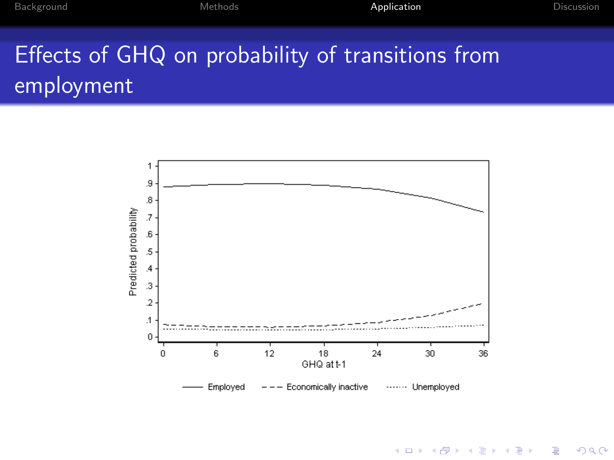# Effects of GHQ on probability of transitions from employment



 $4$  ロ )  $4$   $\overline{r}$  )  $4$   $\overline{z}$  )  $4$   $\overline{z}$  ) 重  $-990$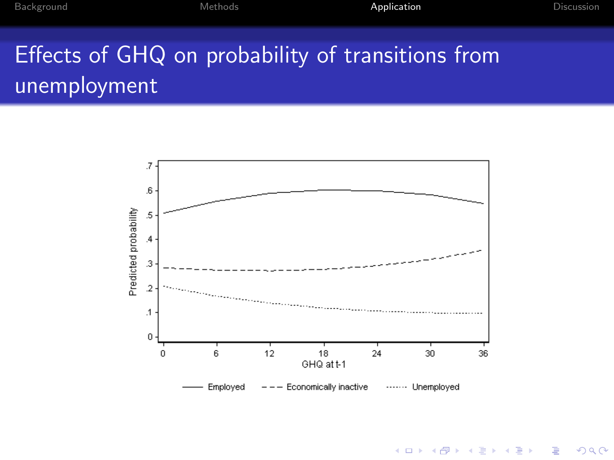# Effects of GHQ on probability of transitions from unemployment



 $4$  ロ )  $4$   $\overline{r}$  )  $4$   $\overline{z}$  )  $4$   $\overline{z}$  ) 重  $299$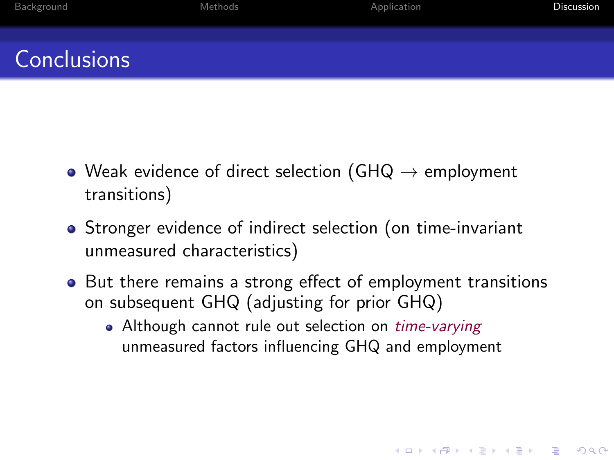# **Conclusions**

- $\bullet$  Weak evidence of direct selection (GHQ  $\rightarrow$  employment transitions)
- Stronger evidence of indirect selection (on time-invariant unmeasured characteristics)
- <span id="page-17-0"></span>• But there remains a strong effect of employment transitions on subsequent GHQ (adjusting for prior GHQ)
	- Although cannot rule out selection on *time-varying* unmeasured factors influencing GHQ and employment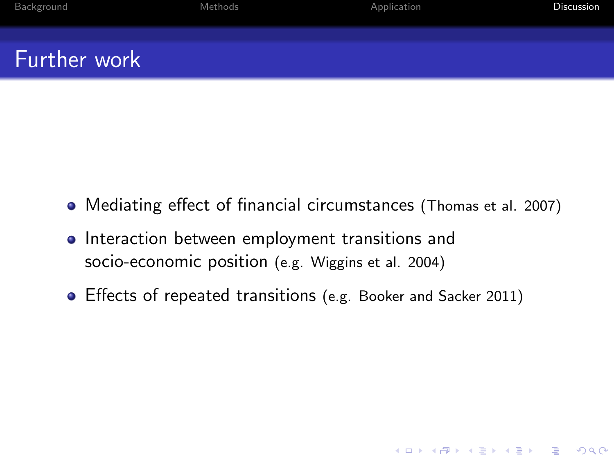|  | Background | Methods | Application | Discussion |
|--|------------|---------|-------------|------------|
|--|------------|---------|-------------|------------|

K ロ ▶ K @ ▶ K 할 > K 할 > 1 할 > 1 이익어

### Further work

- Mediating effect of financial circumstances (Thomas et al. 2007)
- **•** Interaction between employment transitions and socio-economic position (e.g. Wiggins et al. 2004)
- Effects of repeated transitions (e.g. Booker and Sacker 2011)